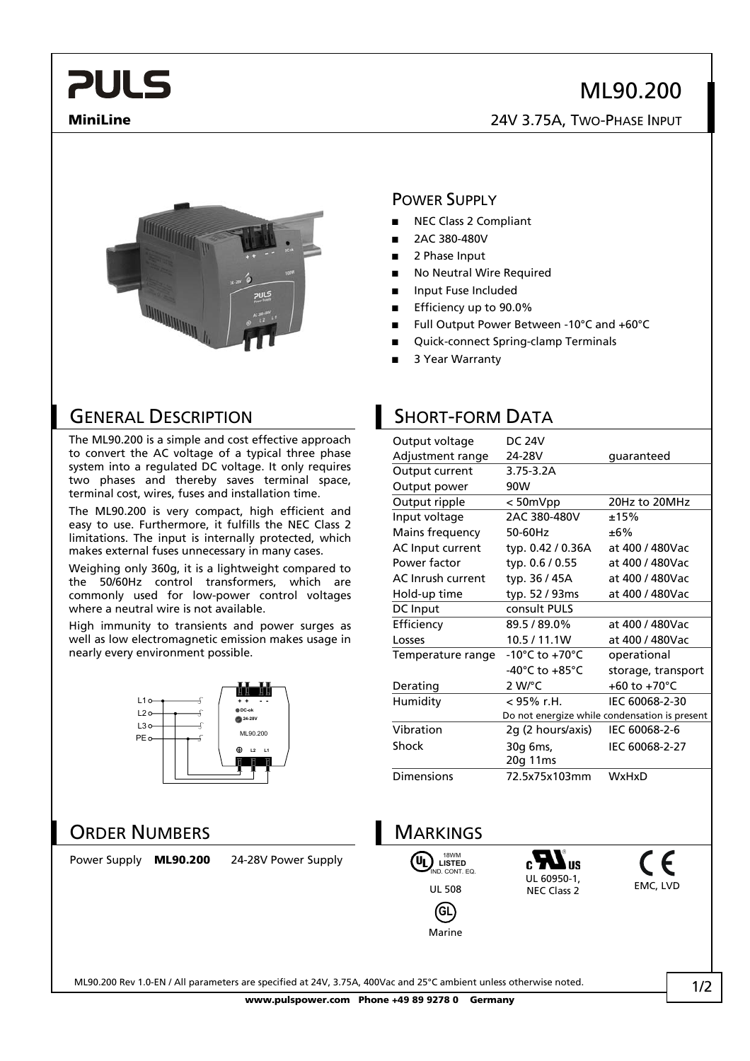# ML90.200

**MiniLine** 24V 3.75A, TWO-PHASE INPUT



#### POWER SUPPLY

- **■** NEC Class 2 Compliant
- **■** 2AC 380-480V
- **■** 2 Phase Input
- No Neutral Wire Required
- **■** Input Fuse Included
- **■** Efficiency up to 90.0%
- **■** Full Output Power Between -10°C and +60°C
- **■** Quick-connect Spring-clamp Terminals
- **■** 3 Year Warranty

#### GENERAL DESCRIPTION SHORT-FORM DATA

**PULS** 

The ML90.200 is a simple and cost effective approach to convert the AC voltage of a typical three phase system into a regulated DC voltage. It only requires two phases and thereby saves terminal space, terminal cost, wires, fuses and installation time.

The ML90.200 is very compact, high efficient and easy to use. Furthermore, it fulfills the NEC Class 2 limitations. The input is internally protected, which makes external fuses unnecessary in many cases.

Weighing only 360g, it is a lightweight compared to the 50/60Hz control transformers, which are commonly used for low-power control voltages where a neutral wire is not available.

High immunity to transients and power surges as well as low electromagnetic emission makes usage in nearly every environment possible.



#### ORDER NUMBERS **MARKINGS**

Power Supply **ML90.200** 24-28V Power Supply

| Output voltage    | <b>DC 24V</b>                      |                                               |
|-------------------|------------------------------------|-----------------------------------------------|
| Adjustment range  | 24-28V                             | quaranteed                                    |
| Output current    | $3.75 - 3.2A$                      |                                               |
| Output power      | 90W                                |                                               |
| Output ripple     | < 50mVpp                           | 20Hz to 20MHz                                 |
| Input voltage     | 2AC 380-480V                       | ±15%                                          |
| Mains frequency   | 50-60Hz                            | ±6%                                           |
| AC Input current  | typ. 0.42 / 0.36A                  | at 400 / 480Vac                               |
| Power factor      | typ. 0.6 / 0.55                    | at 400 / 480Vac                               |
| AC Inrush current | typ. 36 / 45A                      | at 400 / 480Vac                               |
| Hold-up time      | typ. 52 / 93ms                     | at 400 / 480Vac                               |
| DC Input          | consult PULS                       |                                               |
| Efficiency        | 89.5/89.0%                         | at 400 / 480Vac                               |
| Losses            | 10.5 / 11.1W                       | at 400 / 480Vac                               |
| Temperature range | $-10^{\circ}$ C to $+70^{\circ}$ C | operational                                   |
|                   | -40°C to $+85$ °C                  | storage, transport                            |
| Derating          | $2 W$ <sup>o</sup> C               | +60 to +70 $^{\circ}$ C                       |
| Humidity          | < 95% r.H.                         | IEC 60068-2-30                                |
|                   |                                    | Do not energize while condensation is present |
| Vibration         | 2g (2 hours/axis)                  | IEC 60068-2-6                                 |
| <b>Shock</b>      | 30g 6ms,                           | IEC 60068-2-27                                |
|                   | 20g 11ms                           |                                               |
| <b>Dimensions</b> | 72.5x75x103mm                      | WxHxD                                         |
|                   |                                    |                                               |



Marine

UL 60950-1, UL 60950-1,<br>NEC Class 2 EMC, LVD



ML90.200 Rev 1.0-EN / All parameters are specified at 24V, 3.75A, 400Vac and 25°C ambient unless otherwise noted.

**www.pulspower.com Phone +49 89 9278 0 Germany**